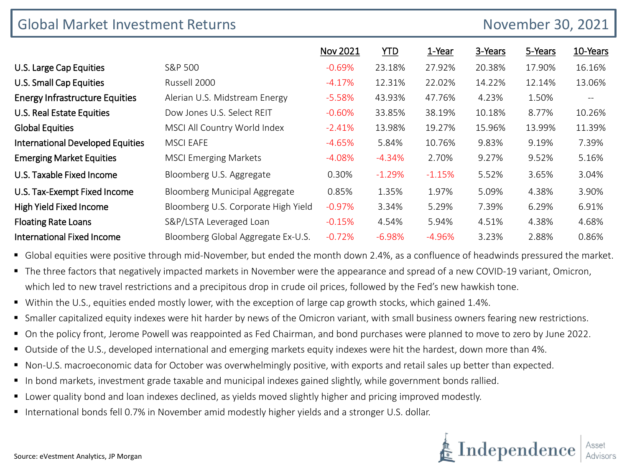| <b>Global Market Investment Returns</b><br>November 30, 2021 |                                      |          |            |          |         |         |          |
|--------------------------------------------------------------|--------------------------------------|----------|------------|----------|---------|---------|----------|
|                                                              |                                      | Nov 2021 | <b>YTD</b> | 1-Year   | 3-Years | 5-Years | 10-Years |
| U.S. Large Cap Equities                                      | S&P 500                              | $-0.69%$ | 23.18%     | 27.92%   | 20.38%  | 17.90%  | 16.16%   |
| U.S. Small Cap Equities                                      | Russell 2000                         | $-4.17%$ | 12.31%     | 22.02%   | 14.22%  | 12.14%  | 13.06%   |
| <b>Energy Infrastructure Equities</b>                        | Alerian U.S. Midstream Energy        | $-5.58%$ | 43.93%     | 47.76%   | 4.23%   | 1.50%   | $-\,-$   |
| <b>U.S. Real Estate Equities</b>                             | Dow Jones U.S. Select REIT           | $-0.60%$ | 33.85%     | 38.19%   | 10.18%  | 8.77%   | 10.26%   |
| <b>Global Equities</b>                                       | MSCI All Country World Index         | $-2.41%$ | 13.98%     | 19.27%   | 15.96%  | 13.99%  | 11.39%   |
| <b>International Developed Equities</b>                      | <b>MSCI EAFE</b>                     | $-4.65%$ | 5.84%      | 10.76%   | 9.83%   | 9.19%   | 7.39%    |
| <b>Emerging Market Equities</b>                              | <b>MSCI Emerging Markets</b>         | $-4.08%$ | $-4.34%$   | 2.70%    | 9.27%   | 9.52%   | 5.16%    |
| U.S. Taxable Fixed Income                                    | Bloomberg U.S. Aggregate             | 0.30%    | $-1.29%$   | $-1.15%$ | 5.52%   | 3.65%   | 3.04%    |
| U.S. Tax-Exempt Fixed Income                                 | <b>Bloomberg Municipal Aggregate</b> | 0.85%    | 1.35%      | 1.97%    | 5.09%   | 4.38%   | 3.90%    |
| <b>High Yield Fixed Income</b>                               | Bloomberg U.S. Corporate High Yield  | $-0.97%$ | 3.34%      | 5.29%    | 7.39%   | 6.29%   | 6.91%    |
| <b>Floating Rate Loans</b>                                   | S&P/LSTA Leveraged Loan              | $-0.15%$ | 4.54%      | 5.94%    | 4.51%   | 4.38%   | 4.68%    |
| <b>International Fixed Income</b>                            | Bloomberg Global Aggregate Ex-U.S.   | $-0.72%$ | $-6.98%$   | $-4.96%$ | 3.23%   | 2.88%   | 0.86%    |

Global equities were positive through mid-November, but ended the month down 2.4%, as a confluence of headwinds pressured the market.

- The three factors that negatively impacted markets in November were the appearance and spread of a new COVID-19 variant, Omicron, which led to new travel restrictions and a precipitous drop in crude oil prices, followed by the Fed's new hawkish tone.
- Within the U.S., equities ended mostly lower, with the exception of large cap growth stocks, which gained 1.4%.
- **S** Smaller capitalized equity indexes were hit harder by news of the Omicron variant, with small business owners fearing new restrictions.
- On the policy front, Jerome Powell was reappointed as Fed Chairman, and bond purchases were planned to move to zero by June 2022.
- Outside of the U.S., developed international and emerging markets equity indexes were hit the hardest, down more than 4%.
- Non-U.S. macroeconomic data for October was overwhelmingly positive, with exports and retail sales up better than expected.
- In bond markets, investment grade taxable and municipal indexes gained slightly, while government bonds rallied.
- **Lower quality bond and loan indexes declined, as yields moved slightly higher and pricing improved modestly.**
- International bonds fell 0.7% in November amid modestly higher yields and a stronger U.S. dollar.

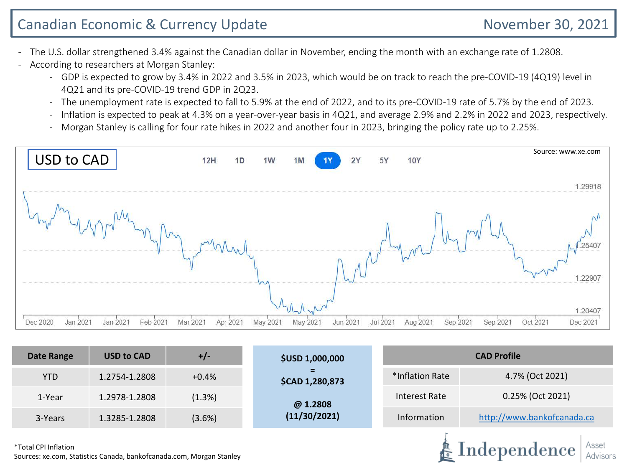## Canadian Economic & Currency Update November 30, 2021

Independence

- The U.S. dollar strengthened 3.4% against the Canadian dollar in November, ending the month with an exchange rate of 1.2808.
- According to researchers at Morgan Stanley:
	- GDP is expected to grow by 3.4% in 2022 and 3.5% in 2023, which would be on track to reach the pre-COVID-19 (4Q19) level in 4Q21 and its pre-COVID-19 trend GDP in 2Q23.
	- The unemployment rate is expected to fall to 5.9% at the end of 2022, and to its pre-COVID-19 rate of 5.7% by the end of 2023.
	- Inflation is expected to peak at 4.3% on a year-over-year basis in 4Q21, and average 2.9% and 2.2% in 2022 and 2023, respectively.
	- Morgan Stanley is calling for four rate hikes in 2022 and another four in 2023, bringing the policy rate up to 2.25%.



| <b>Date Range</b> | <b>USD to CAD</b> | $+/-$   | <b>\$USD 1,000,000</b>       | <b>CAD Profile</b>                 |                            |  |  |
|-------------------|-------------------|---------|------------------------------|------------------------------------|----------------------------|--|--|
| <b>YTD</b>        | 1.2754-1.2808     | $+0.4%$ | Ξ.<br><b>\$CAD 1,280,873</b> | 4.7% (Oct 2021)<br>*Inflation Rate |                            |  |  |
| 1-Year            | 1.2978-1.2808     | (1.3%)  | @ 1.2808                     | Interest Rate                      | 0.25% (Oct 2021)           |  |  |
| 3-Years           | 1.3285-1.2808     | (3.6%)  | (11/30/2021)                 | Information                        | http://www.bankofcanada.ca |  |  |
|                   |                   |         |                              |                                    |                            |  |  |

\*Total CPI Inflation Sources: xe.com, Statistics Canada, bankofcanada.com, Morgan Stanley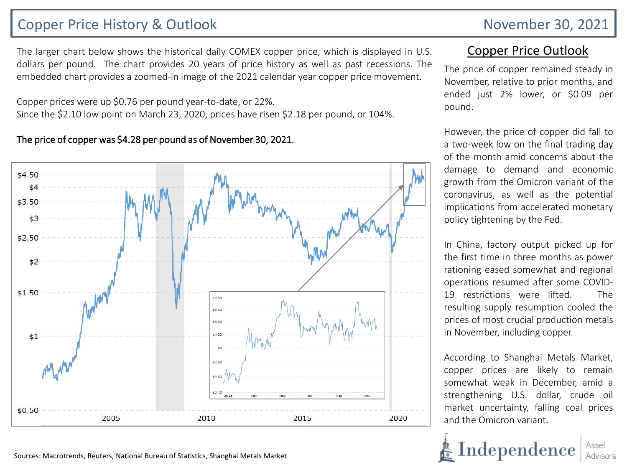### Copper Price History & Outlook November 30, 2021

The larger chart below shows the historical daily COMEX copper price, which is displayed in U.S. dollars per pound. The chart provides 20 years of price history as well as past recessions. The embedded chart provides a zoomed-in image of the 2021 calendar year copper price movement.

Copper prices were up \$0.76 per pound year-to-date, or 22%. Since the \$2.10 low point on March 23, 2020, prices have risen \$2.18 per pound, or 104%.

# The price of copper was \$4.28 per pound as of November 30, 2021.



### Copper Price Outlook

The price of copper remained steady in November, relative to prior months, and ended just 2% lower, or \$0.09 per pound.

However, the price of copper did fall to a two-week low on the final trading day of the month amid concerns about the damage to demand and economic growth from the Omicron variant of the coronavirus, as well as the potential implications from accelerated monetary policy tightening by the Fed.

In China, factory output picked up for the first time in three months as power rationing eased somewhat and regional operations resumed after some COVID-19 restrictions were lifted. The resulting supply resumption cooled the prices of most crucial production metals in November, including copper.

According to Shanghai Metals Market, copper prices are likely to remain somewhat weak in December, amid a strengthening U.S. dollar, crude oil market uncertainty, falling coal prices and the Omicron variant.